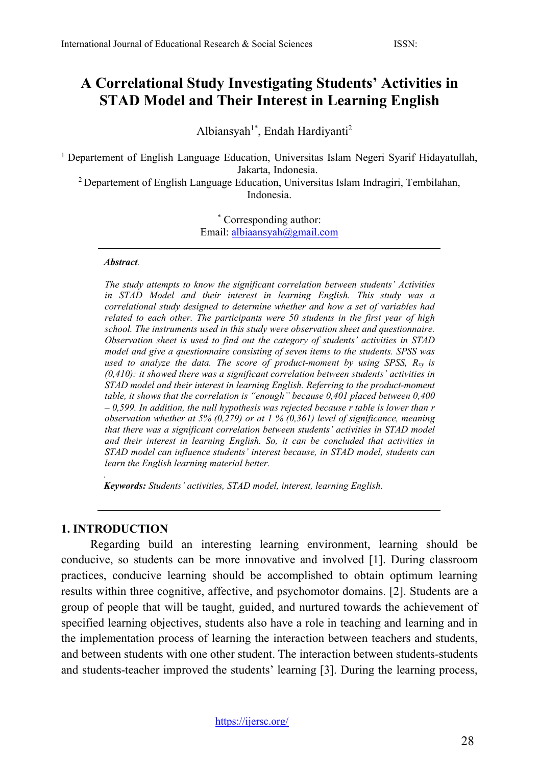# **A Correlational Study Investigating Students' Activities in STAD Model and Their Interest in Learning English**

Albiansyah<sup>1\*</sup>, Endah Hardiyanti<sup>2</sup>

1 Departement of English Language Education, Universitas Islam Negeri Syarif Hidayatullah, Jakarta, Indonesia.

<sup>2</sup> Departement of English Language Education, Universitas Islam Indragiri, Tembilahan, Indonesia.

> \* Corresponding author: Email: [albiaansyah@gmail.com](mailto:albiaansyah@gmail.com)

#### *Abstract.*

*The study attempts to know the significant correlation between students' Activities in STAD Model and their interest in learning English. This study was a correlational study designed to determine whether and how a set of variables had related to each other. The participants were 50 students in the first year of high school. The instruments used in this study were observation sheet and questionnaire. Observation sheet is used to find out the category of students' activities in STAD model and give a questionnaire consisting of seven items to the students. SPSS was used to analyze the data. The score of product-moment by using SPSS, Rxy is (0,410): it showed there was a significant correlation between students' activities in STAD model and their interest in learning English. Referring to the product-moment table, it shows that the correlation is "enough" because 0,401 placed between 0,400 – 0,599. In addition, the null hypothesis was rejected because r table is lower than r observation whether at 5% (0,279) or at 1 % (0,361) level of significance, meaning that there was a significant correlation between students' activities in STAD model and their interest in learning English. So, it can be concluded that activities in STAD model can influence students' interest because, in STAD model, students can learn the English learning material better.*

*Keywords: Students' activities, STAD model, interest, learning English.*

### **1. INTRODUCTION**

*.*

Regarding build an interesting learning environment, learning should be conducive, so students can be more innovative and involved [1]. During classroom practices, conducive learning should be accomplished to obtain optimum learning results within three cognitive, affective, and psychomotor domains. [2]. Students are a group of people that will be taught, guided, and nurtured towards the achievement of specified learning objectives, students also have a role in teaching and learning and in the implementation process of learning the interaction between teachers and students, and between students with one other student. The interaction between students-students and students-teacher improved the students' learning [3]. During the learning process,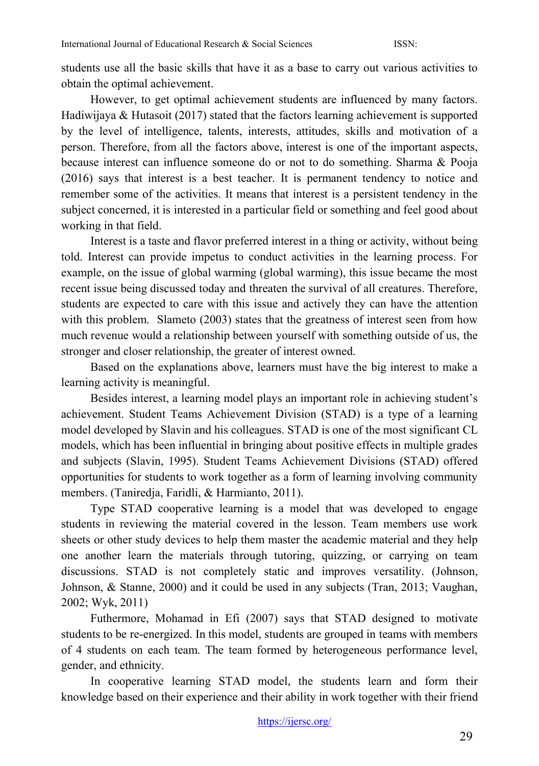students use all the basic skills that have it as a base to carry out various activities to obtain the optimal achievement.

However, to get optimal achievement students are influenced by many factors. Hadiwijaya & Hutasoit (2017) stated that the factors learning achievement is supported by the level of intelligence, talents, interests, attitudes, skills and motivation of a person. Therefore, from all the factors above, interest is one of the important aspects, because interest can influence someone do or not to do something. Sharma & Pooja (2016) says that interest is a best teacher. It is permanent tendency to notice and remember some of the activities. It means that interest is a persistent tendency in the subject concerned, it is interested in a particular field or something and feel good about working in that field.

Interest is a taste and flavor preferred interest in a thing or activity, without being told. Interest can provide impetus to conduct activities in the learning process. For example, on the issue of global warming (global warming), this issue became the most recent issue being discussed today and threaten the survival of all creatures. Therefore, students are expected to care with this issue and actively they can have the attention with this problem. Slameto (2003) states that the greatness of interest seen from how much revenue would a relationship between yourself with something outside of us, the stronger and closer relationship, the greater of interest owned.

Based on the explanations above, learners must have the big interest to make a learning activity is meaningful.

Besides interest, a learning model plays an important role in achieving student's achievement. Student Teams Achievement Division (STAD) is a type of a learning model developed by Slavin and his colleagues. STAD is one of the most significant CL models, which has been influential in bringing about positive effects in multiple grades and subjects (Slavin, 1995). Student Teams Achievement Divisions (STAD) offered opportunities for students to work together as a form of learning involving community members. (Taniredja, Faridli, & Harmianto, 2011).

Type STAD cooperative learning is a model that was developed to engage students in reviewing the material covered in the lesson. Team members use work sheets or other study devices to help them master the academic material and they help one another learn the materials through tutoring, quizzing, or carrying on team discussions. STAD is not completely static and improves versatility. (Johnson, Johnson, & Stanne, 2000) and it could be used in any subjects (Tran, 2013; Vaughan, 2002; Wyk, 2011)

Futhermore, Mohamad in Efi (2007) says that STAD designed to motivate students to be re-energized. In this model, students are grouped in teams with members of 4 students on each team. The team formed by heterogeneous performance level, gender, and ethnicity.

In cooperative learning STAD model, the students learn and form their knowledge based on their experience and their ability in work together with their friend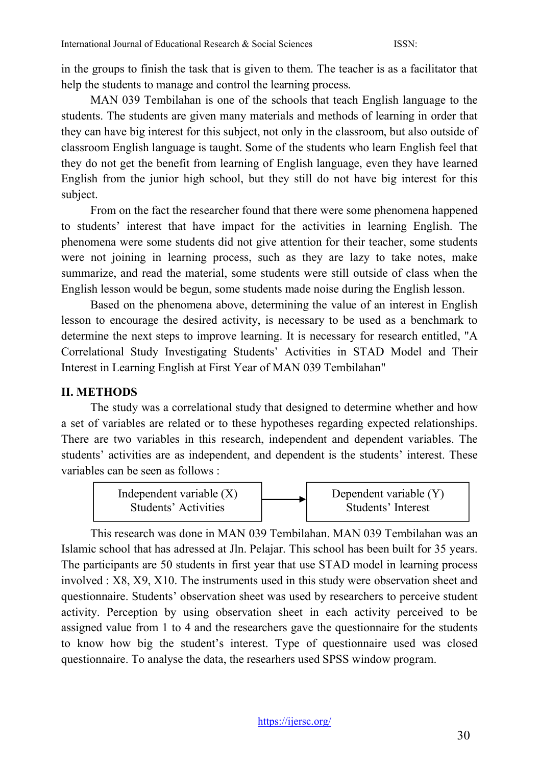in the groups to finish the task that is given to them. The teacher is as a facilitator that help the students to manage and control the learning process.

MAN 039 Tembilahan is one of the schools that teach English language to the students. The students are given many materials and methods of learning in order that they can have big interest for this subject, not only in the classroom, but also outside of classroom English language is taught. Some of the students who learn English feel that they do not get the benefit from learning of English language, even they have learned English from the junior high school, but they still do not have big interest for this subject.

From on the fact the researcher found that there were some phenomena happened to students' interest that have impact for the activities in learning English. The phenomena were some students did not give attention for their teacher, some students were not joining in learning process, such as they are lazy to take notes, make summarize, and read the material, some students were still outside of class when the English lesson would be begun, some students made noise during the English lesson.

Based on the phenomena above, determining the value of an interest in English lesson to encourage the desired activity, is necessary to be used as a benchmark to determine the next steps to improve learning. It is necessary for research entitled, "A Correlational Study Investigating Students' Activities in STAD Model and Their Interest in Learning English at First Year of MAN 039 Tembilahan"

#### **II. METHODS**

The study was a correlational study that designed to determine whether and how a set of variables are related or to these hypotheses regarding expected relationships. There are two variables in this research, independent and dependent variables. The students' activities are as independent, and dependent is the students' interest. These variables can be seen as follows :



This research was done in MAN 039 Tembilahan. MAN 039 Tembilahan was an Islamic school that has adressed at Jln. Pelajar. This school has been built for 35 years. The participants are 50 students in first year that use STAD model in learning process involved : X8, X9, X10. The instruments used in this study were observation sheet and questionnaire. Students' observation sheet was used by researchers to perceive student activity. Perception by using observation sheet in each activity perceived to be assigned value from 1 to 4 and the researchers gave the questionnaire for the students to know how big the student's interest. Type of questionnaire used was closed questionnaire. To analyse the data, the researhers used SPSS window program.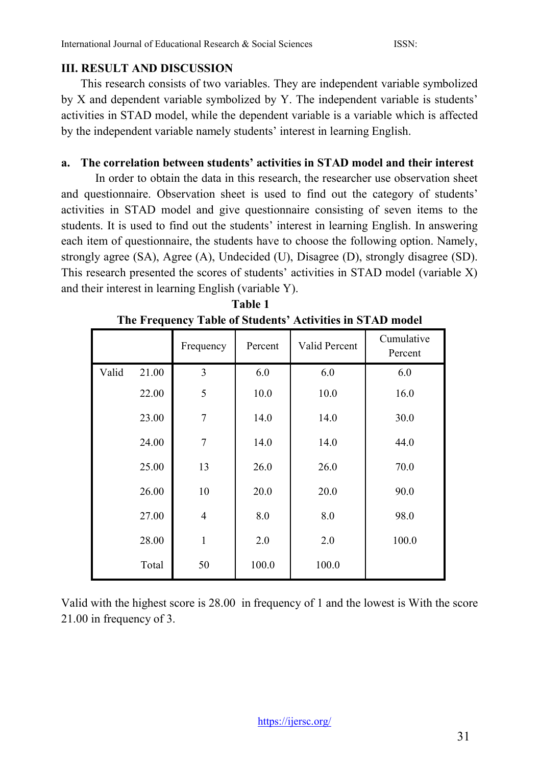# **III. RESULT AND DISCUSSION**

This research consists of two variables. They are independent variable symbolized by X and dependent variable symbolized by Y. The independent variable is students' activities in STAD model, while the dependent variable is a variable which is affected by the independent variable namely students' interest in learning English.

## **a. The correlation between students' activities in STAD model and their interest**

In order to obtain the data in this research, the researcher use observation sheet and questionnaire. Observation sheet is used to find out the category of students' activities in STAD model and give questionnaire consisting of seven items to the students. It is used to find out the students' interest in learning English. In answering each item of questionnaire, the students have to choose the following option. Namely, strongly agree (SA), Agree (A), Undecided (U), Disagree (D), strongly disagree (SD). This research presented the scores of students' activities in STAD model (variable X) and their interest in learning English (variable Y).

|       |       | Frequency      | Percent | Valid Percent | Cumulative<br>Percent |
|-------|-------|----------------|---------|---------------|-----------------------|
| Valid | 21.00 | 3              | 6.0     | 6.0           | 6.0                   |
|       | 22.00 | 5              | 10.0    | 10.0          | 16.0                  |
|       | 23.00 | 7              | 14.0    | 14.0          | 30.0                  |
|       | 24.00 | 7              | 14.0    | 14.0          | 44.0                  |
|       | 25.00 | 13             | 26.0    | 26.0          | 70.0                  |
|       | 26.00 | 10             | 20.0    | 20.0          | 90.0                  |
|       | 27.00 | $\overline{4}$ | 8.0     | 8.0           | 98.0                  |
|       | 28.00 | $\mathbf{1}$   | 2.0     | 2.0           | 100.0                 |
|       | Total | 50             | 100.0   | 100.0         |                       |

**Table 1 The Frequency Table of Students' Activities in STAD model**

Valid with the highest score is 28.00 in frequency of 1 and the lowest is With the score 21.00 in frequency of 3.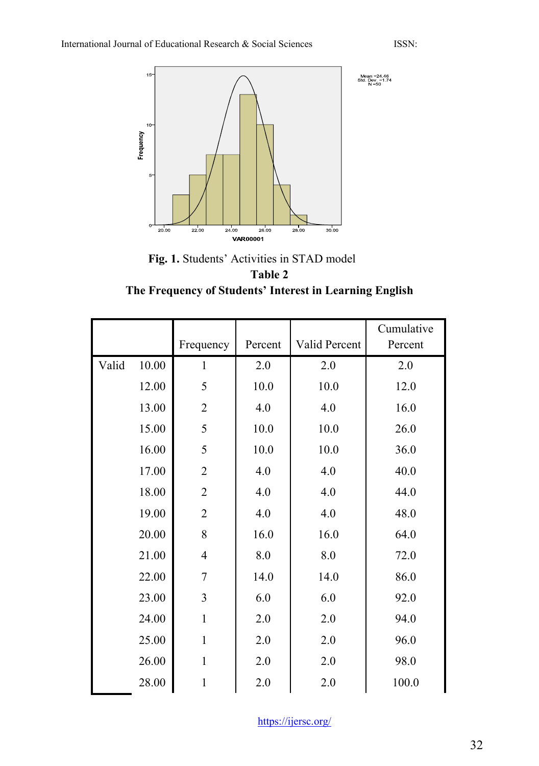



**The Frequency of Students' Interest in Learning English**

|       |       | Frequency      | Percent | Valid Percent | Cumulative<br>Percent |
|-------|-------|----------------|---------|---------------|-----------------------|
| Valid | 10.00 | $\mathbf{1}$   | 2.0     | 2.0           | 2.0                   |
|       | 12.00 | 5              | 10.0    | 10.0          | 12.0                  |
|       | 13.00 | $\mathfrak{2}$ | 4.0     | 4.0           | 16.0                  |
|       | 15.00 | 5              | 10.0    | 10.0          | 26.0                  |
|       | 16.00 | 5              | 10.0    | 10.0          | 36.0                  |
|       | 17.00 | $\mathfrak{2}$ | 4.0     | 4.0           | 40.0                  |
|       | 18.00 | $\overline{2}$ | 4.0     | 4.0           | 44.0                  |
|       | 19.00 | $\overline{2}$ | 4.0     | 4.0           | 48.0                  |
|       | 20.00 | 8              | 16.0    | 16.0          | 64.0                  |
|       | 21.00 | $\overline{4}$ | 8.0     | 8.0           | 72.0                  |
|       | 22.00 | 7              | 14.0    | 14.0          | 86.0                  |
|       | 23.00 | $\mathfrak{Z}$ | 6.0     | 6.0           | 92.0                  |
|       | 24.00 | $\mathbf{1}$   | 2.0     | 2.0           | 94.0                  |
|       | 25.00 | $\mathbf{1}$   | 2.0     | 2.0           | 96.0                  |
|       | 26.00 | $\mathbf{1}$   | $2.0\,$ | 2.0           | 98.0                  |
|       | 28.00 | $\mathbf 1$    | 2.0     | 2.0           | 100.0                 |

<https://ijersc.org/>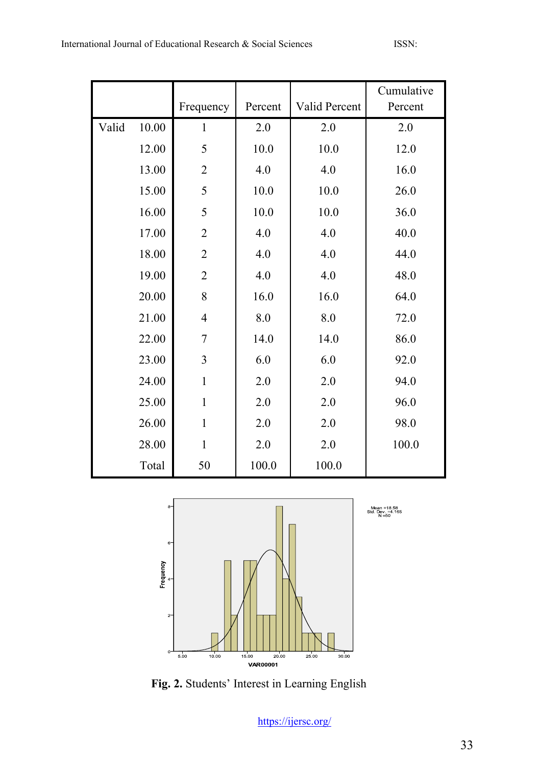|       |       | Frequency      | Percent | Valid Percent | Cumulative<br>Percent |
|-------|-------|----------------|---------|---------------|-----------------------|
| Valid | 10.00 | $\mathbf{1}$   | 2.0     | 2.0           | 2.0                   |
|       | 12.00 | 5              | 10.0    | 10.0          | 12.0                  |
|       | 13.00 | $\overline{2}$ | 4.0     | 4.0           | 16.0                  |
|       | 15.00 | 5              | 10.0    | 10.0          | 26.0                  |
|       | 16.00 | 5              | 10.0    | 10.0          | 36.0                  |
|       | 17.00 | $\overline{2}$ | 4.0     | 4.0           | 40.0                  |
|       | 18.00 | $\overline{2}$ | 4.0     | 4.0           | 44.0                  |
|       | 19.00 | $\overline{2}$ | 4.0     | 4.0           | 48.0                  |
|       | 20.00 | 8              | 16.0    | 16.0          | 64.0                  |
|       | 21.00 | $\overline{4}$ | 8.0     | 8.0           | 72.0                  |
|       | 22.00 | 7              | 14.0    | 14.0          | 86.0                  |
|       | 23.00 | 3              | 6.0     | 6.0           | 92.0                  |
|       | 24.00 | $\mathbf{1}$   | 2.0     | 2.0           | 94.0                  |
|       | 25.00 | $\mathbf{1}$   | 2.0     | 2.0           | 96.0                  |
|       | 26.00 | $\mathbf{1}$   | 2.0     | 2.0           | 98.0                  |
|       | 28.00 | $\mathbf{1}$   | 2.0     | 2.0           | 100.0                 |
|       | Total | 50             | 100.0   | 100.0         |                       |



**Fig. 2.** Students' Interest in Learning English

<https://ijersc.org/>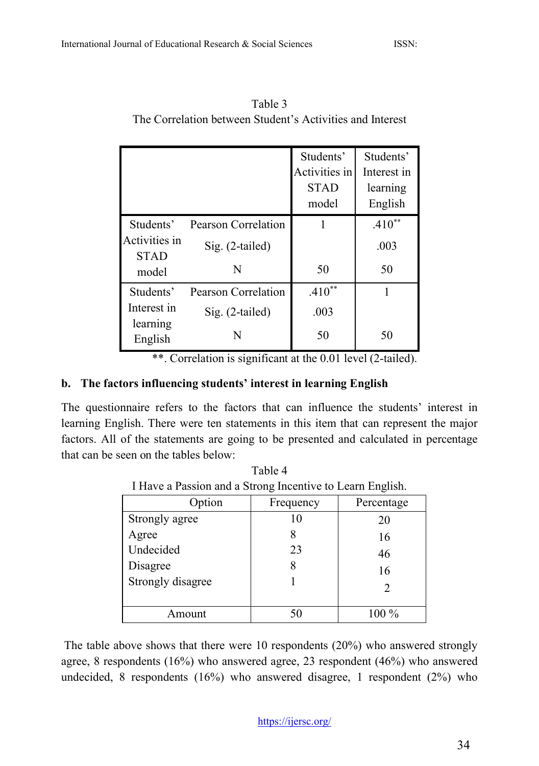|               |                     | Students'     | Students'   |
|---------------|---------------------|---------------|-------------|
|               |                     | Activities in | Interest in |
|               |                     | <b>STAD</b>   | learning    |
|               |                     | model         | English     |
| Students'     | Pearson Correlation | 1             | $.410**$    |
| Activities in | Sig. (2-tailed)     |               | .003        |
| <b>STAD</b>   |                     |               |             |
| model         | N                   | 50            | 50          |
| Students'     | Pearson Correlation | $.410**$      |             |
| Interest in   | Sig. (2-tailed)     | .003          |             |
| learning      |                     | 50            | 50          |
| English       |                     |               |             |

Table 3 The Correlation between Student's Activities and Interest

\*\*. Correlation is significant at the 0.01 level (2-tailed).

# **b. The factors influencing students' interest in learning English**

The questionnaire refers to the factors that can influence the students' interest in learning English. There were ten statements in this item that can represent the major factors. All of the statements are going to be presented and calculated in percentage that can be seen on the tables below:

Table 4 I Have a Passion and a Strong Incentive to Learn English.

| Option            | Frequency | Percentage |
|-------------------|-----------|------------|
| Strongly agree    | 10        | 20         |
| Agree             |           | 16         |
| Undecided         | 23        | 46         |
| Disagree          |           | 16         |
| Strongly disagree |           |            |
|                   |           |            |
| Amount            | 50        | ነበ %       |

The table above shows that there were 10 respondents  $(20\%)$  who answered strongly agree, 8 respondents (16%) who answered agree, 23 respondent (46%) who answered undecided, 8 respondents (16%) who answered disagree, 1 respondent (2%) who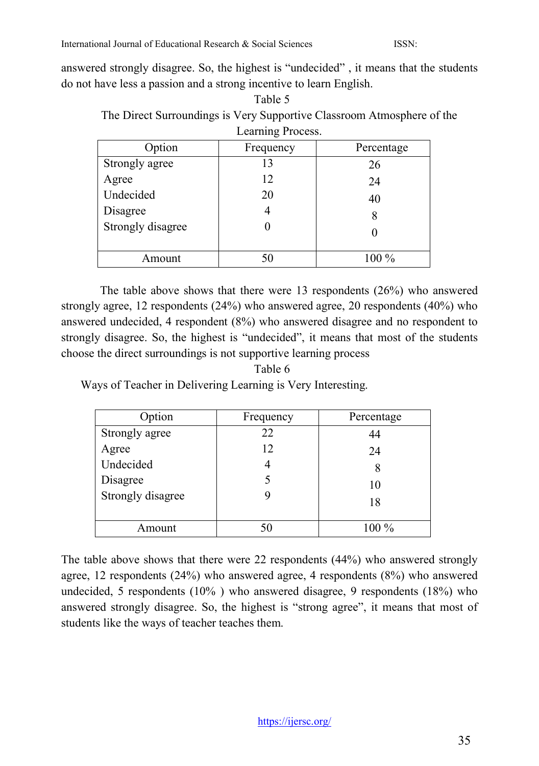answered strongly disagree. So, the highest is "undecided" , it means that the students do not have less a passion and a strong incentive to learn English.

| Table 5                                                                |
|------------------------------------------------------------------------|
| The Direct Surroundings is Very Supportive Classroom Atmosphere of the |
| Learning Process.                                                      |

| Option            | Frequency | Percentage |
|-------------------|-----------|------------|
| Strongly agree    | 13        | 26         |
| Agree             | 12        | 24         |
| Undecided         | 20        | 40         |
| Disagree          |           | 8          |
| Strongly disagree |           |            |
| Amount            | 50        | $100\%$    |
|                   |           |            |

The table above shows that there were 13 respondents (26%) who answered strongly agree, 12 respondents (24%) who answered agree, 20 respondents (40%) who answered undecided, 4 respondent (8%) who answered disagree and no respondent to strongly disagree. So, the highest is "undecided", it means that most of the students choose the direct surroundings is not supportive learning process

# Table 6 Ways of Teacher in Delivering Learning is Very Interesting.

| Option            | Frequency | Percentage |
|-------------------|-----------|------------|
| Strongly agree    | 22        | 44         |
| Agree             | 12        | 24         |
| Undecided         |           |            |
| Disagree          |           | 10         |
| Strongly disagree |           | 18         |
| Amount            | 50        | $100\%$    |

The table above shows that there were 22 respondents (44%) who answered strongly agree, 12 respondents (24%) who answered agree, 4 respondents (8%) who answered undecided, 5 respondents (10% ) who answered disagree, 9 respondents (18%) who answered strongly disagree. So, the highest is "strong agree", it means that most of students like the ways of teacher teaches them.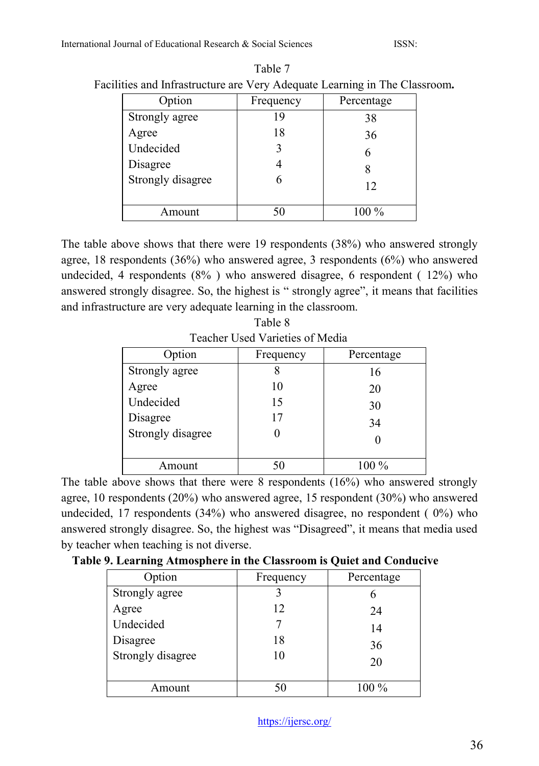|                   | $\frac{1}{2}$ . The state of $\frac{1}{2}$ is the state of $\frac{1}{2}$ . The state of $\frac{1}{2}$ |            |
|-------------------|-------------------------------------------------------------------------------------------------------|------------|
| Option            | Frequency                                                                                             | Percentage |
| Strongly agree    |                                                                                                       | 38         |
| Agree             | 18                                                                                                    | 36         |
| Undecided         |                                                                                                       |            |
| Disagree          |                                                                                                       |            |
| Strongly disagree |                                                                                                       | 12         |
|                   |                                                                                                       |            |
| Amount            |                                                                                                       | $100\%$    |

Table 7 Facilities and Infrastructure are Very Adequate Learning in The Classroom**.**

The table above shows that there were 19 respondents (38%) who answered strongly agree, 18 respondents (36%) who answered agree, 3 respondents (6%) who answered undecided, 4 respondents  $(8\%)$  who answered disagree, 6 respondent (  $12\%)$  who answered strongly disagree. So, the highest is " strongly agree", it means that facilities and infrastructure are very adequate learning in the classroom.

| Table 8                         |  |
|---------------------------------|--|
| Teacher Used Varieties of Media |  |

| Option            | Frequency | Percentage |
|-------------------|-----------|------------|
| Strongly agree    |           | 16         |
| Agree             | 10        | 20         |
| Undecided         | 15        | 30         |
| Disagree          | 17        | 34         |
| Strongly disagree |           |            |
|                   |           |            |
| mount             | 50        | $0\%$      |

The table above shows that there were 8 respondents  $(16%)$  who answered strongly agree, 10 respondents (20%) who answered agree, 15 respondent (30%) who answered undecided, 17 respondents  $(34%)$  who answered disagree, no respondent  $(0%)$  who answered strongly disagree. So, the highest was "Disagreed", it means that media used by teacher when teaching is not diverse.

| Table 9. Learning Atmosphere in the Classroom is Quiet and Conducive |  |  |
|----------------------------------------------------------------------|--|--|
|                                                                      |  |  |

| Option            | Frequency | Percentage |
|-------------------|-----------|------------|
| Strongly agree    |           |            |
| Agree             | 12        | 24         |
| Undecided         |           | 14         |
| Disagree          | 18        | 36         |
| Strongly disagree | 10        | 20         |
|                   |           |            |
| Amount            |           | $00\%$     |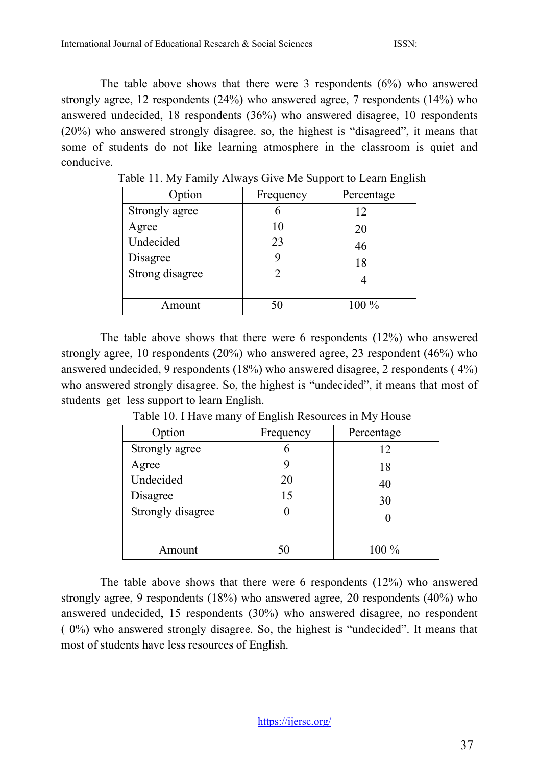The table above shows that there were 3 respondents  $(6%)$  who answered strongly agree, 12 respondents (24%) who answered agree, 7 respondents (14%) who answered undecided, 18 respondents (36%) who answered disagree, 10 respondents (20%) who answered strongly disagree. so, the highest is "disagreed", it means that some of students do not like learning atmosphere in the classroom is quiet and conducive.

| Option          | Frequency | Percentage |
|-----------------|-----------|------------|
| Strongly agree  |           | 12         |
| Agree           | 10        | 20         |
| Undecided       | 23        | 46         |
| Disagree        |           | 18         |
| Strong disagree |           |            |
|                 |           |            |
| Amount          | 50        | 100 %      |

| Table 11. My Family Always Give Me Support to Learn English |  |  |  |  |  |  |  |
|-------------------------------------------------------------|--|--|--|--|--|--|--|
|-------------------------------------------------------------|--|--|--|--|--|--|--|

The table above shows that there were 6 respondents (12%) who answered strongly agree, 10 respondents (20%) who answered agree, 23 respondent (46%) who answered undecided, 9 respondents (18%) who answered disagree, 2 respondents ( 4%) who answered strongly disagree. So, the highest is "undecided", it means that most of students get less support to learn English.

| Option            | Frequency | Percentage |
|-------------------|-----------|------------|
| Strongly agree    |           | 12         |
| Agree             |           | 18         |
| Undecided         | 20        | 40         |
| Disagree          | 15        | 30         |
| Strongly disagree |           |            |
| Amount            | 50        | 100 %      |

Table 10. I Have many of English Resources in My House

The table above shows that there were 6 respondents (12%) who answered strongly agree, 9 respondents (18%) who answered agree, 20 respondents (40%) who answered undecided, 15 respondents (30%) who answered disagree, no respondent ( 0%) who answered strongly disagree. So, the highest is "undecided". It means that most of students have less resources of English.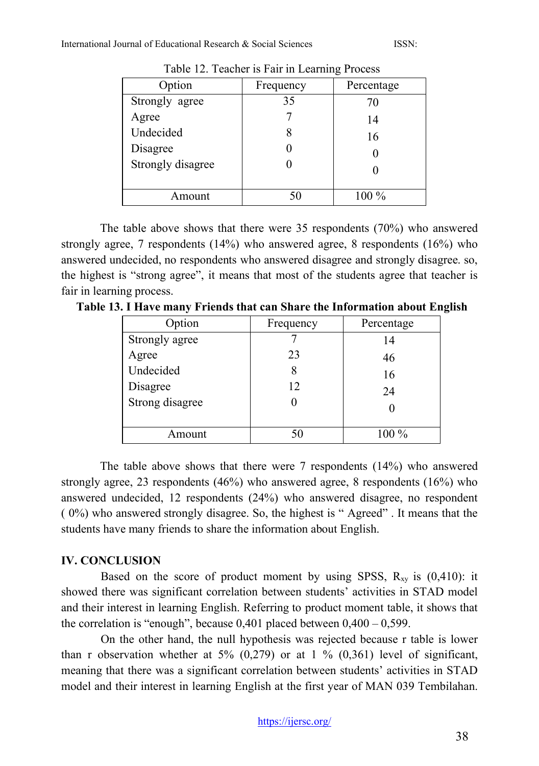| Option            | Frequency | Percentage |
|-------------------|-----------|------------|
| Strongly agree    | 35        | 70         |
| Agree             |           | 14         |
| Undecided         | 8         | 16         |
| Disagree          |           |            |
| Strongly disagree |           |            |
|                   |           |            |
| Amount            | 50        | $100\%$    |

Table 12. Teacher is Fair in Learning Process

The table above shows that there were 35 respondents (70%) who answered strongly agree, 7 respondents (14%) who answered agree, 8 respondents (16%) who answered undecided, no respondents who answered disagree and strongly disagree. so, the highest is "strong agree", it means that most of the students agree that teacher is fair in learning process.

| Option          | Frequency | Percentage |
|-----------------|-----------|------------|
| Strongly agree  |           | 14         |
| Agree           | 23        | 46         |
| Undecided       |           | 16         |
| Disagree        | 12        | 24         |
| Strong disagree |           |            |
|                 |           |            |
| Amount          |           | 100 %      |

**Table 13. I Have many Friends that can Share the Information about English**

The table above shows that there were 7 respondents (14%) who answered strongly agree, 23 respondents (46%) who answered agree, 8 respondents (16%) who answered undecided, 12 respondents (24%) who answered disagree, no respondent ( 0%) who answered strongly disagree. So, the highest is " Agreed" . It means that the students have many friends to share the information about English.

### **IV. CONCLUSION**

Based on the score of product moment by using SPSS,  $R_{xy}$  is (0,410): it showed there was significant correlation between students' activities in STAD model and their interest in learning English. Referring to product moment table, it shows that the correlation is "enough", because  $0,401$  placed between  $0,400 - 0,599$ .

On the other hand, the null hypothesis was rejected because r table is lower than r observation whether at 5%  $(0,279)$  or at 1 %  $(0,361)$  level of significant, meaning that there was a significant correlation between students' activities in STAD model and their interest in learning English at the first year of MAN 039 Tembilahan.